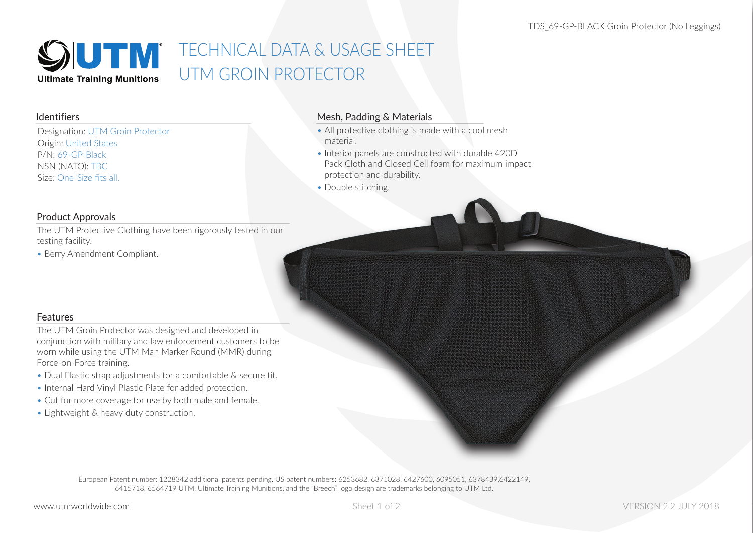

# TECHNICAL DATA & USAGE SHEET UTM GROIN PROTECTOR

#### Identifiers

Designation: UTM Groin Protector Origin: United States P/N: 69-GP-Black NSN (NATO): TBC Size: One-Size fits all.

### Mesh, Padding & Materials

- All protective clothing is made with a cool mesh material.
- Interior panels are constructed with durable 420D Pack Cloth and Closed Cell foam for maximum impact protection and durability.
- Double stitching.

#### Product Approvals

The UTM Protective Clothing have been rigorously tested in our testing facility.

• Berry Amendment Compliant.

### **Features**

The UTM Groin Protector was designed and developed in conjunction with military and law enforcement customers to be worn while using the UTM Man Marker Round (MMR) during Force-on-Force training.

- Dual Elastic strap adjustments for a comfortable & secure fit.
- Internal Hard Vinyl Plastic Plate for added protection.
- Cut for more coverage for use by both male and female.
- Lightweight & heavy duty construction.

European Patent number: 1228342 additional patents pending. US patent numbers: 6253682, 6371028, 6427600, 6095051, 6378439,6422149, 6415718, 6564719 UTM, Ultimate Training Munitions, and the "Breech" logo design are trademarks belonging to UTM Ltd.